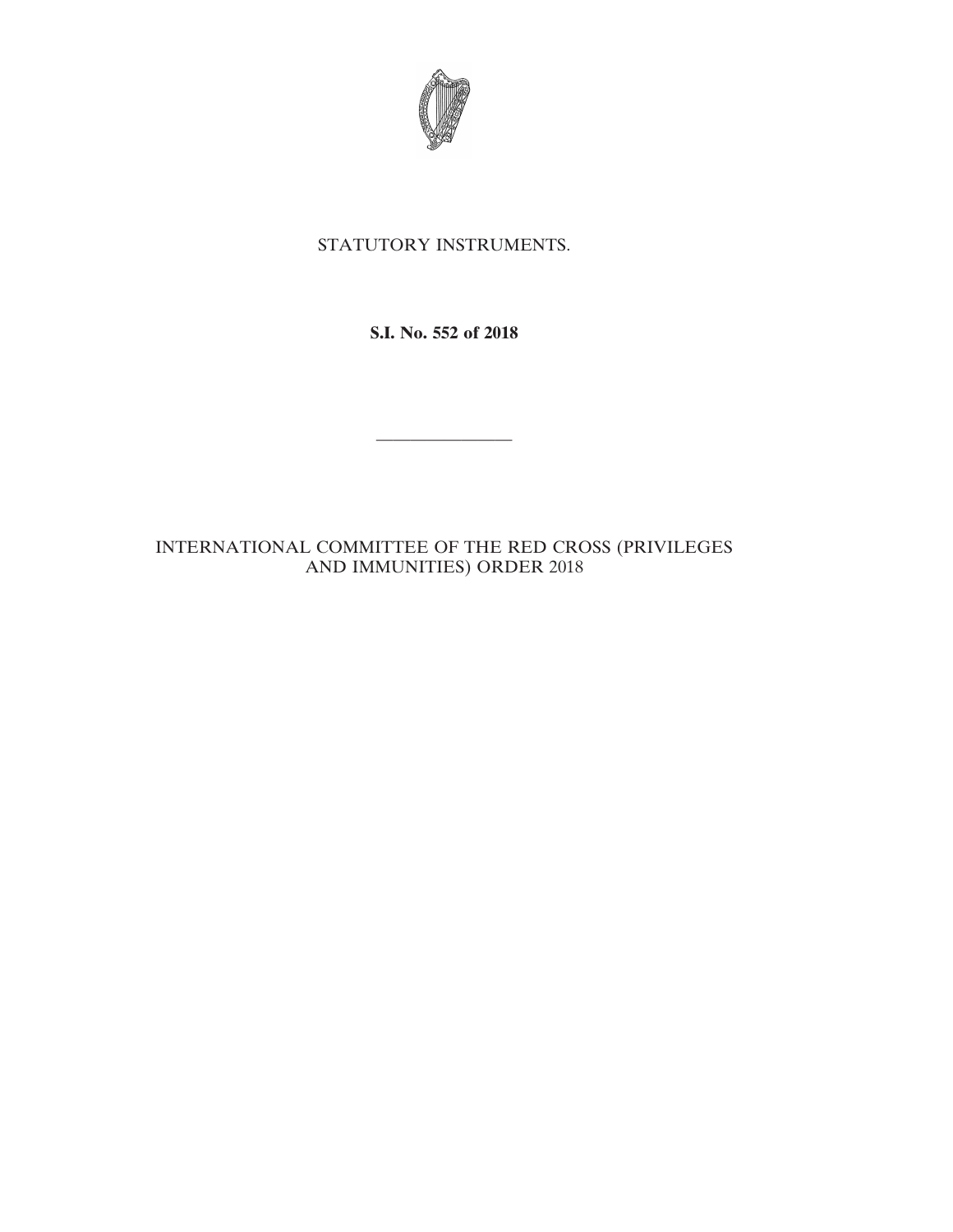

# STATUTORY INSTRUMENTS.

**S.I. No. 552 of 2018**

————————

# INTERNATIONAL COMMITTEE OF THE RED CROSS (PRIVILEGES AND IMMUNITIES) ORDER 2018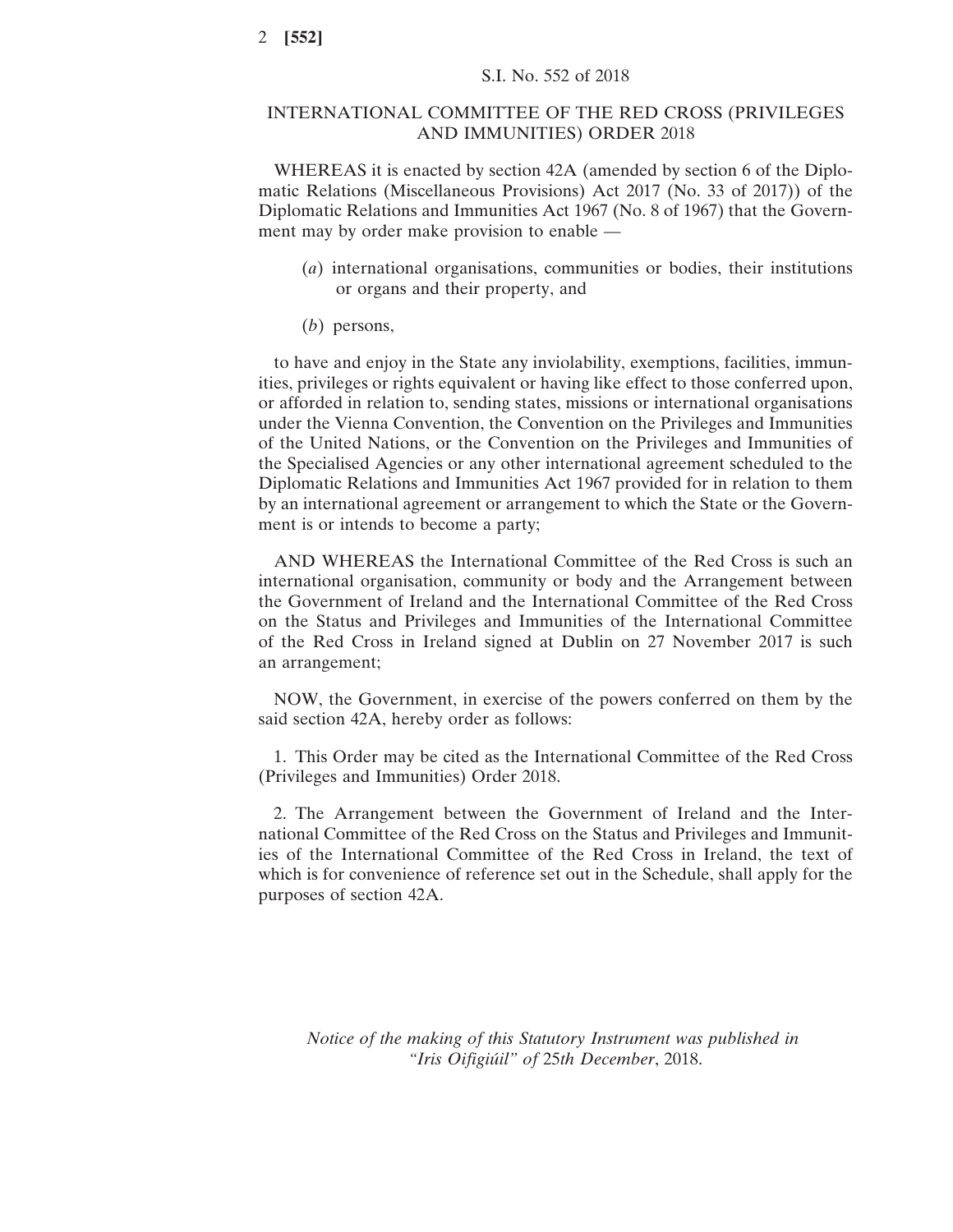# INTERNATIONAL COMMITTEE OF THE RED CROSS (PRIVILEGES AND IMMUNITIES) ORDER 2018

WHEREAS it is enacted by section 42A (amended by section 6 of the Diplomatic Relations (Miscellaneous Provisions) Act 2017 (No. 33 of 2017)) of the Diplomatic Relations and Immunities Act 1967 (No. 8 of 1967) that the Government may by order make provision to enable —

- (*a*) international organisations, communities or bodies, their institutions or organs and their property, and
- (*b*) persons,

to have and enjoy in the State any inviolability, exemptions, facilities, immunities, privileges or rights equivalent or having like effect to those conferred upon, or afforded in relation to, sending states, missions or international organisations under the Vienna Convention, the Convention on the Privileges and Immunities of the United Nations, or the Convention on the Privileges and Immunities of the Specialised Agencies or any other international agreement scheduled to the Diplomatic Relations and Immunities Act 1967 provided for in relation to them by an international agreement or arrangement to which the State or the Government is or intends to become a party;

AND WHEREAS the International Committee of the Red Cross is such an international organisation, community or body and the Arrangement between the Government of Ireland and the International Committee of the Red Cross on the Status and Privileges and Immunities of the International Committee of the Red Cross in Ireland signed at Dublin on 27 November 2017 is such an arrangement;

NOW, the Government, in exercise of the powers conferred on them by the said section 42A, hereby order as follows:

1. This Order may be cited as the International Committee of the Red Cross (Privileges and Immunities) Order 2018.

2. The Arrangement between the Government of Ireland and the International Committee of the Red Cross on the Status and Privileges and Immunities of the International Committee of the Red Cross in Ireland, the text of which is for convenience of reference set out in the Schedule, shall apply for the purposes of section 42A.

*Notice of the making of this Statutory Instrument was published in "Iris Oifigiúil" of* 25*th December*, 2018.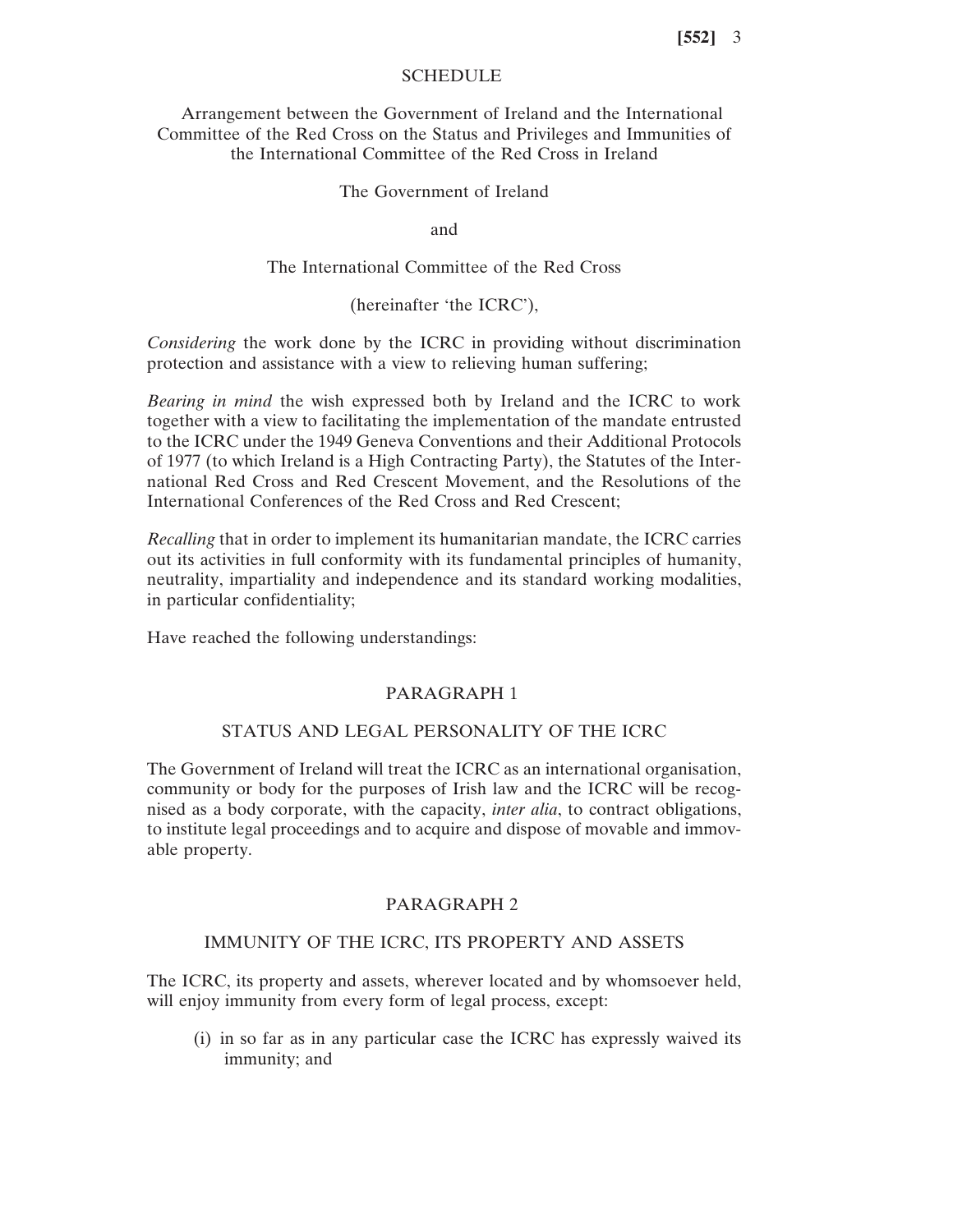# **SCHEDULE**

Arrangement between the Government of Ireland and the International Committee of the Red Cross on the Status and Privileges and Immunities of the International Committee of the Red Cross in Ireland

# The Government of Ireland

and

The International Committee of the Red Cross

(hereinafter 'the ICRC'),

*Considering* the work done by the ICRC in providing without discrimination protection and assistance with a view to relieving human suffering;

*Bearing in mind* the wish expressed both by Ireland and the ICRC to work together with a view to facilitating the implementation of the mandate entrusted to the ICRC under the 1949 Geneva Conventions and their Additional Protocols of 1977 (to which Ireland is a High Contracting Party), the Statutes of the International Red Cross and Red Crescent Movement, and the Resolutions of the International Conferences of the Red Cross and Red Crescent;

*Recalling* that in order to implement its humanitarian mandate, the ICRC carries out its activities in full conformity with its fundamental principles of humanity, neutrality, impartiality and independence and its standard working modalities, in particular confidentiality;

Have reached the following understandings:

## PARAGRAPH 1

# STATUS AND LEGAL PERSONALITY OF THE ICRC

The Government of Ireland will treat the ICRC as an international organisation, community or body for the purposes of Irish law and the ICRC will be recognised as a body corporate, with the capacity, *inter alia*, to contract obligations, to institute legal proceedings and to acquire and dispose of movable and immovable property.

#### PARAGRAPH 2

# IMMUNITY OF THE ICRC, ITS PROPERTY AND ASSETS

The ICRC, its property and assets, wherever located and by whomsoever held, will enjoy immunity from every form of legal process, except:

(i) in so far as in any particular case the ICRC has expressly waived its immunity; and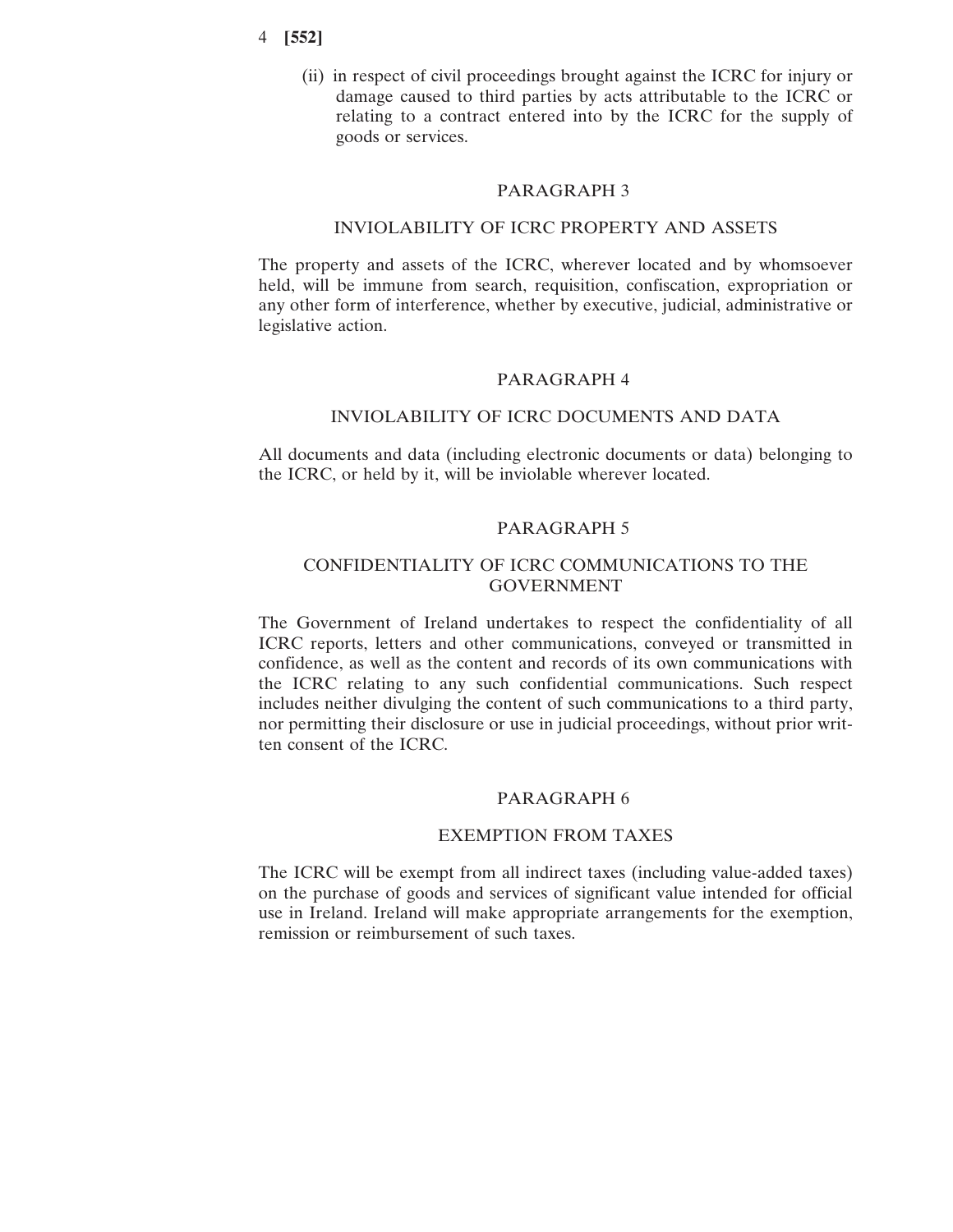(ii) in respect of civil proceedings brought against the ICRC for injury or damage caused to third parties by acts attributable to the ICRC or relating to a contract entered into by the ICRC for the supply of goods or services.

### PARAGRAPH 3

# INVIOLABILITY OF ICRC PROPERTY AND ASSETS

The property and assets of the ICRC, wherever located and by whomsoever held, will be immune from search, requisition, confiscation, expropriation or any other form of interference, whether by executive, judicial, administrative or legislative action.

#### PARAGRAPH 4

#### INVIOLABILITY OF ICRC DOCUMENTS AND DATA

All documents and data (including electronic documents or data) belonging to the ICRC, or held by it, will be inviolable wherever located.

### PARAGRAPH 5

# CONFIDENTIALITY OF ICRC COMMUNICATIONS TO THE GOVERNMENT

The Government of Ireland undertakes to respect the confidentiality of all ICRC reports, letters and other communications, conveyed or transmitted in confidence, as well as the content and records of its own communications with the ICRC relating to any such confidential communications. Such respect includes neither divulging the content of such communications to a third party, nor permitting their disclosure or use in judicial proceedings, without prior written consent of the ICRC.

### PARAGRAPH 6

## EXEMPTION FROM TAXES

The ICRC will be exempt from all indirect taxes (including value-added taxes) on the purchase of goods and services of significant value intended for official use in Ireland. Ireland will make appropriate arrangements for the exemption, remission or reimbursement of such taxes.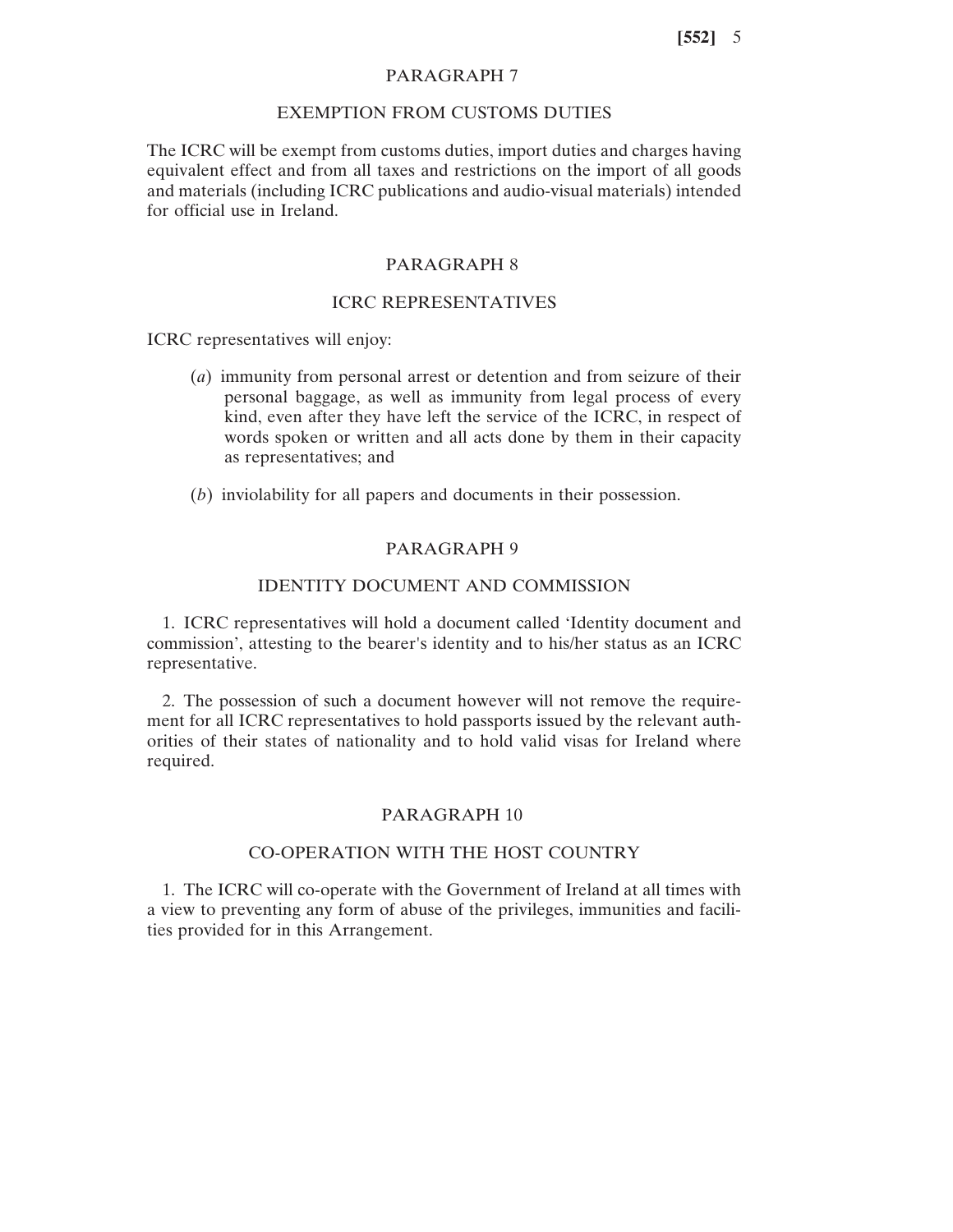# PARAGRAPH 7

## EXEMPTION FROM CUSTOMS DUTIES

The ICRC will be exempt from customs duties, import duties and charges having equivalent effect and from all taxes and restrictions on the import of all goods and materials (including ICRC publications and audio-visual materials) intended for official use in Ireland.

# PARAGRAPH 8

## ICRC REPRESENTATIVES

ICRC representatives will enjoy:

- (*a*) immunity from personal arrest or detention and from seizure of their personal baggage, as well as immunity from legal process of every kind, even after they have left the service of the ICRC, in respect of words spoken or written and all acts done by them in their capacity as representatives; and
- (*b*) inviolability for all papers and documents in their possession.

## PARAGRAPH 9

### IDENTITY DOCUMENT AND COMMISSION

1. ICRC representatives will hold a document called 'Identity document and commission', attesting to the bearer's identity and to his/her status as an ICRC representative.

2. The possession of such a document however will not remove the requirement for all ICRC representatives to hold passports issued by the relevant authorities of their states of nationality and to hold valid visas for Ireland where required.

## PARAGRAPH 10

### CO-OPERATION WITH THE HOST COUNTRY

1. The ICRC will co-operate with the Government of Ireland at all times with a view to preventing any form of abuse of the privileges, immunities and facilities provided for in this Arrangement.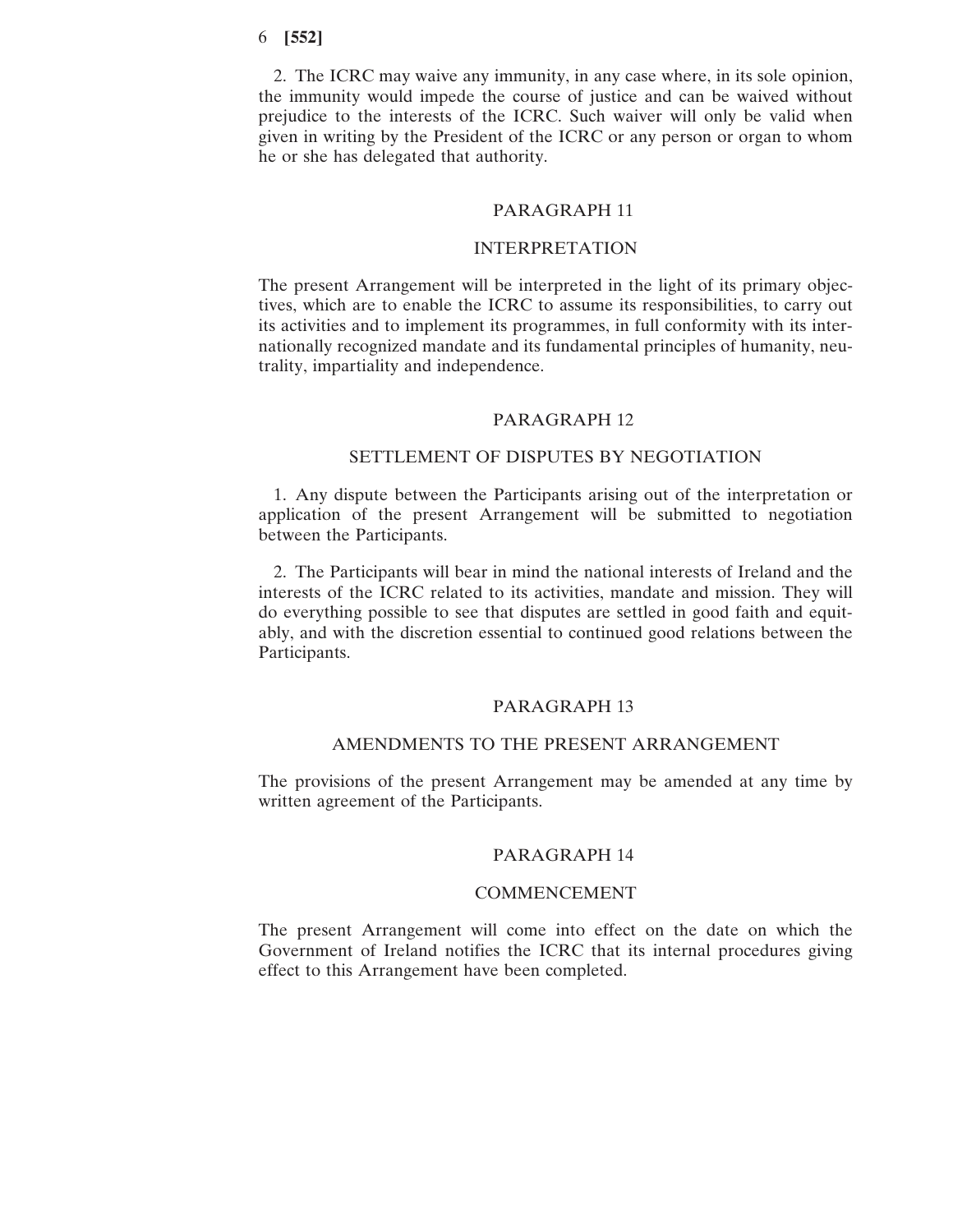2. The ICRC may waive any immunity, in any case where, in its sole opinion, the immunity would impede the course of justice and can be waived without prejudice to the interests of the ICRC. Such waiver will only be valid when given in writing by the President of the ICRC or any person or organ to whom he or she has delegated that authority.

#### PARAGRAPH 11

# INTERPRETATION

The present Arrangement will be interpreted in the light of its primary objectives, which are to enable the ICRC to assume its responsibilities, to carry out its activities and to implement its programmes, in full conformity with its internationally recognized mandate and its fundamental principles of humanity, neutrality, impartiality and independence.

#### PARAGRAPH 12

#### SETTLEMENT OF DISPUTES BY NEGOTIATION

1. Any dispute between the Participants arising out of the interpretation or application of the present Arrangement will be submitted to negotiation between the Participants.

2. The Participants will bear in mind the national interests of Ireland and the interests of the ICRC related to its activities, mandate and mission. They will do everything possible to see that disputes are settled in good faith and equitably, and with the discretion essential to continued good relations between the Participants.

#### PARAGRAPH 13

## AMENDMENTS TO THE PRESENT ARRANGEMENT

The provisions of the present Arrangement may be amended at any time by written agreement of the Participants.

### PARAGRAPH 14

#### COMMENCEMENT

The present Arrangement will come into effect on the date on which the Government of Ireland notifies the ICRC that its internal procedures giving effect to this Arrangement have been completed.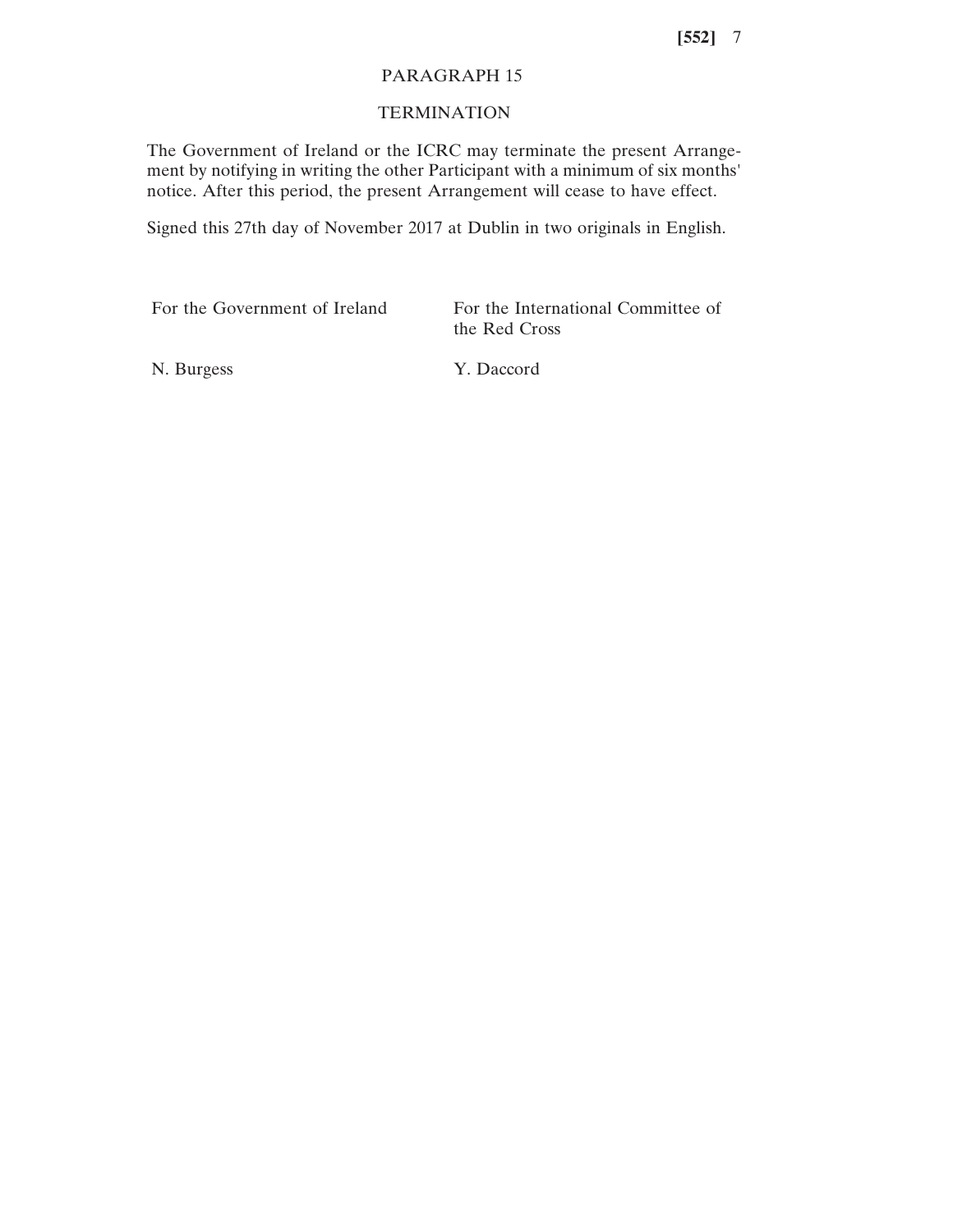## PARAGRAPH 15

# **TERMINATION**

The Government of Ireland or the ICRC may terminate the present Arrangement by notifying in writing the other Participant with a minimum of six months' notice. After this period, the present Arrangement will cease to have effect.

Signed this 27th day of November 2017 at Dublin in two originals in English.

| For the Government of Ireland | For the International Committee of<br>the Red Cross |
|-------------------------------|-----------------------------------------------------|
|                               |                                                     |

N. Burgess Y. Daccord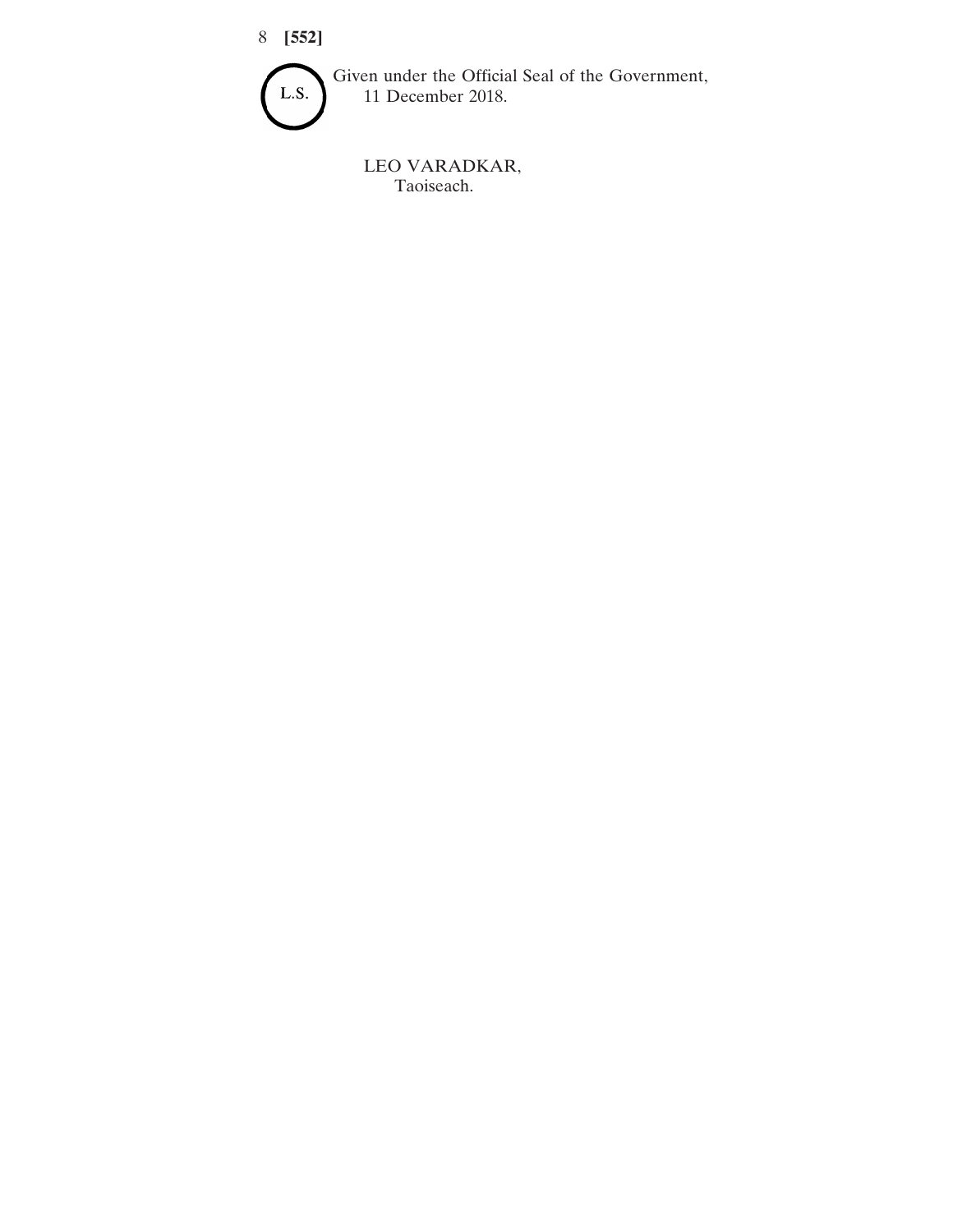

Given under the Official Seal of the Government, 11 December 2018.

LEO VARADKAR, Taoiseach.